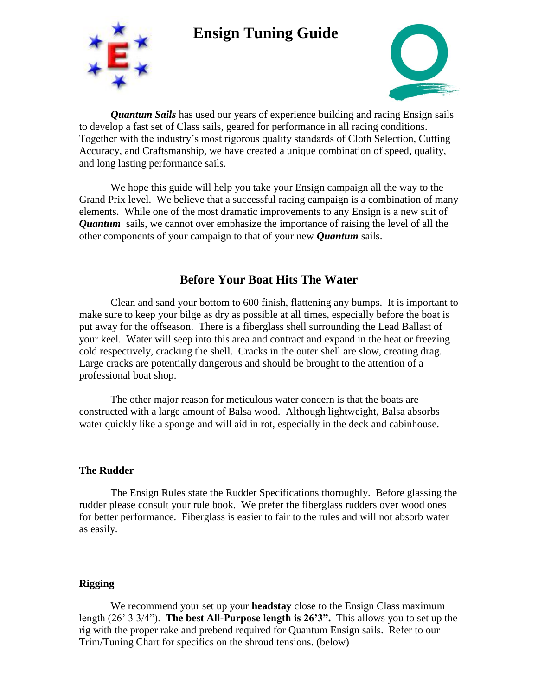## **Ensign Tuning Guide**





*Quantum Sails* has used our years of experience building and racing Ensign sails to develop a fast set of Class sails, geared for performance in all racing conditions. Together with the industry's most rigorous quality standards of Cloth Selection, Cutting Accuracy, and Craftsmanship, we have created a unique combination of speed, quality, and long lasting performance sails.

We hope this guide will help you take your Ensign campaign all the way to the Grand Prix level. We believe that a successful racing campaign is a combination of many elements. While one of the most dramatic improvements to any Ensign is a new suit of *Quantum* sails, we cannot over emphasize the importance of raising the level of all the other components of your campaign to that of your new *Quantum* sails.

## **Before Your Boat Hits The Water**

Clean and sand your bottom to 600 finish, flattening any bumps. It is important to make sure to keep your bilge as dry as possible at all times, especially before the boat is put away for the offseason. There is a fiberglass shell surrounding the Lead Ballast of your keel. Water will seep into this area and contract and expand in the heat or freezing cold respectively, cracking the shell. Cracks in the outer shell are slow, creating drag. Large cracks are potentially dangerous and should be brought to the attention of a professional boat shop.

The other major reason for meticulous water concern is that the boats are constructed with a large amount of Balsa wood. Although lightweight, Balsa absorbs water quickly like a sponge and will aid in rot, especially in the deck and cabinhouse.

#### **The Rudder**

The Ensign Rules state the Rudder Specifications thoroughly. Before glassing the rudder please consult your rule book. We prefer the fiberglass rudders over wood ones for better performance. Fiberglass is easier to fair to the rules and will not absorb water as easily.

#### **Rigging**

We recommend your set up your **headstay** close to the Ensign Class maximum length (26' 3 3/4"). **The best All-Purpose length is 26'3".** This allows you to set up the rig with the proper rake and prebend required for Quantum Ensign sails. Refer to our Trim/Tuning Chart for specifics on the shroud tensions. (below)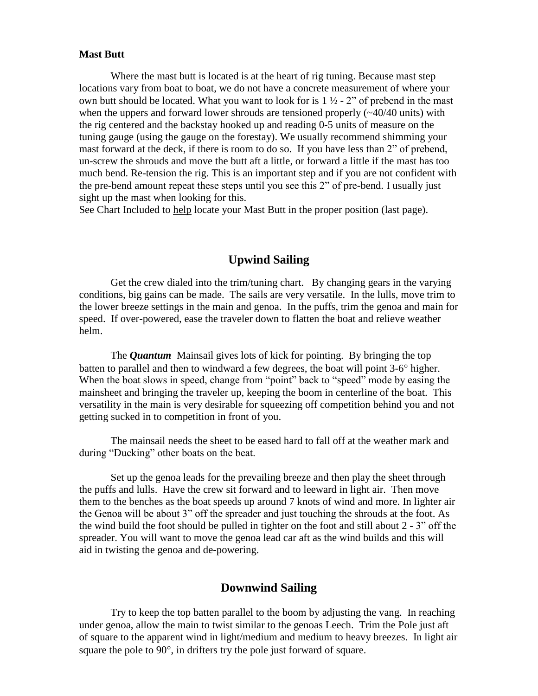#### **Mast Butt**

Where the mast butt is located is at the heart of rig tuning. Because mast step locations vary from boat to boat, we do not have a concrete measurement of where your own butt should be located. What you want to look for is  $1 \frac{1}{2}$  - 2" of prebend in the mast when the uppers and forward lower shrouds are tensioned properly ( $\sim$ 40/40 units) with the rig centered and the backstay hooked up and reading 0-5 units of measure on the tuning gauge (using the gauge on the forestay). We usually recommend shimming your mast forward at the deck, if there is room to do so. If you have less than 2" of prebend, un-screw the shrouds and move the butt aft a little, or forward a little if the mast has too much bend. Re-tension the rig. This is an important step and if you are not confident with the pre-bend amount repeat these steps until you see this 2" of pre-bend. I usually just sight up the mast when looking for this.

See Chart Included to help locate your Mast Butt in the proper position (last page).

### **Upwind Sailing**

Get the crew dialed into the trim/tuning chart. By changing gears in the varying conditions, big gains can be made. The sails are very versatile. In the lulls, move trim to the lower breeze settings in the main and genoa. In the puffs, trim the genoa and main for speed. If over-powered, ease the traveler down to flatten the boat and relieve weather helm.

The *Quantum* Mainsail gives lots of kick for pointing. By bringing the top batten to parallel and then to windward a few degrees, the boat will point  $3-6^\circ$  higher. When the boat slows in speed, change from "point" back to "speed" mode by easing the mainsheet and bringing the traveler up, keeping the boom in centerline of the boat. This versatility in the main is very desirable for squeezing off competition behind you and not getting sucked in to competition in front of you.

The mainsail needs the sheet to be eased hard to fall off at the weather mark and during "Ducking" other boats on the beat.

Set up the genoa leads for the prevailing breeze and then play the sheet through the puffs and lulls. Have the crew sit forward and to leeward in light air. Then move them to the benches as the boat speeds up around 7 knots of wind and more. In lighter air the Genoa will be about 3" off the spreader and just touching the shrouds at the foot. As the wind build the foot should be pulled in tighter on the foot and still about 2 - 3" off the spreader. You will want to move the genoa lead car aft as the wind builds and this will aid in twisting the genoa and de-powering.

#### **Downwind Sailing**

Try to keep the top batten parallel to the boom by adjusting the vang. In reaching under genoa, allow the main to twist similar to the genoas Leech. Trim the Pole just aft of square to the apparent wind in light/medium and medium to heavy breezes. In light air square the pole to  $90^\circ$ , in drifters try the pole just forward of square.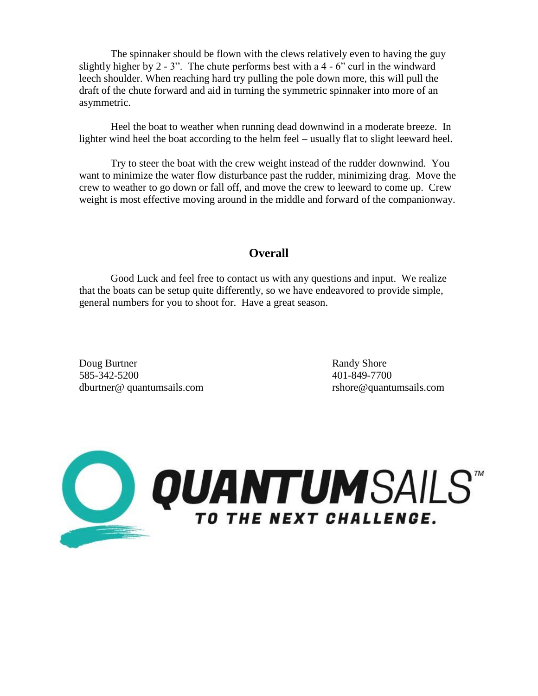The spinnaker should be flown with the clews relatively even to having the guy slightly higher by  $2 - 3$ ". The chute performs best with a  $4 - 6$ " curl in the windward leech shoulder. When reaching hard try pulling the pole down more, this will pull the draft of the chute forward and aid in turning the symmetric spinnaker into more of an asymmetric.

Heel the boat to weather when running dead downwind in a moderate breeze. In lighter wind heel the boat according to the helm feel – usually flat to slight leeward heel.

Try to steer the boat with the crew weight instead of the rudder downwind. You want to minimize the water flow disturbance past the rudder, minimizing drag. Move the crew to weather to go down or fall off, and move the crew to leeward to come up. Crew weight is most effective moving around in the middle and forward of the companionway.

#### **Overall**

Good Luck and feel free to contact us with any questions and input. We realize that the boats can be setup quite differently, so we have endeavored to provide simple, general numbers for you to shoot for. Have a great season.

Doug Burtner Randy Shore 585-342-5200 401-849-7700 dburtner@ quantumsails.com rshore@quantumsails.com

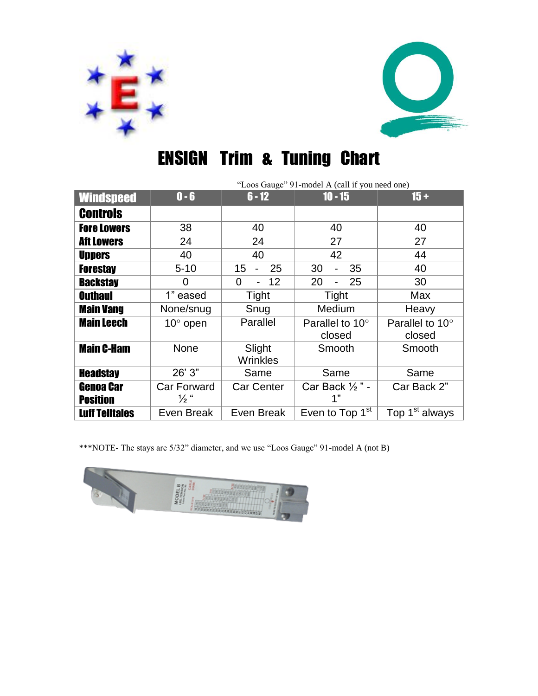



# ENSIGN Trim & Tuning Chart

|                                     | "Loos Gauge" 91-model A (call if you need one) |                           |                                  |                            |
|-------------------------------------|------------------------------------------------|---------------------------|----------------------------------|----------------------------|
| <b>Windspeed</b>                    | $0 - 6$                                        | $6 - 12$                  | $10 - 15$                        | $15 +$                     |
| <b>Controls</b>                     |                                                |                           |                                  |                            |
| <b>Fore Lowers</b>                  | 38                                             | 40                        | 40                               | 40                         |
| <b>Aft Lowers</b>                   | 24                                             | 24                        | 27                               | 27                         |
| <b>Uppers</b>                       | 40                                             | 40                        | 42                               | 44                         |
| <b>Forestay</b>                     | $5 - 10$                                       | 25<br>15                  | 30<br>35                         | 40                         |
| <b>Backstay</b>                     | 0                                              | 12<br>$\overline{0}$      | 25<br>20                         | 30                         |
| <b>Outhaul</b>                      | 1" eased                                       | Tight                     | Tight                            | Max                        |
| <b>Main Vang</b>                    | None/snug                                      | Snug                      | Medium                           | Heavy                      |
| <b>Main Leech</b>                   | $10^{\circ}$ open                              | Parallel                  | Parallel to 10°<br>closed        | Parallel to 10°<br>closed  |
| <b>Main C-Ham</b>                   | <b>None</b>                                    | Slight<br><b>Wrinkles</b> | Smooth                           | Smooth                     |
| <b>Headstay</b>                     | 26'3"                                          | Same                      | Same                             | Same                       |
| <b>Genoa Car</b><br><b>Position</b> | Car Forward<br>$\frac{1}{2}$ "                 | <b>Car Center</b>         | Car Back $\frac{1}{2}$ " -<br>1" | Car Back 2"                |
| <b>Luff Telltales</b>               | Even Break                                     | Even Break                | Even to Top $1st$                | Top 1 <sup>st</sup> always |

\*\*\*NOTE- The stays are 5/32" diameter, and we use "Loos Gauge" 91-model A (not B)